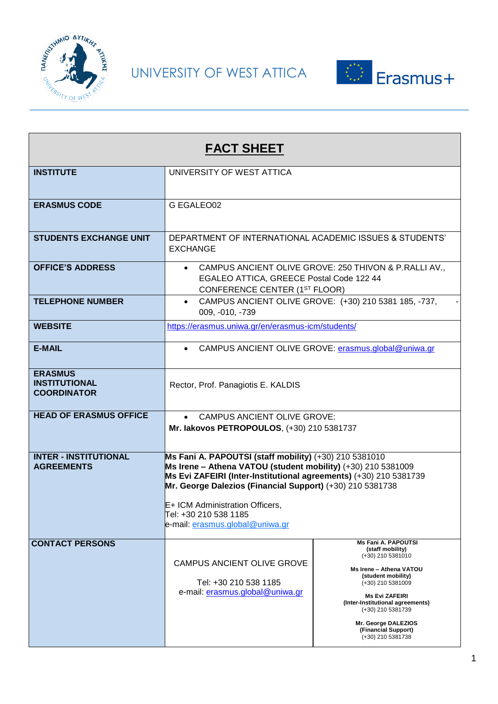



| <b>FACT SHEET</b>                                            |                                                                                                                                                                                                                                                                                                                                                         |                                                                                                                                                                                                                                                                                                |  |  |
|--------------------------------------------------------------|---------------------------------------------------------------------------------------------------------------------------------------------------------------------------------------------------------------------------------------------------------------------------------------------------------------------------------------------------------|------------------------------------------------------------------------------------------------------------------------------------------------------------------------------------------------------------------------------------------------------------------------------------------------|--|--|
| <b>INSTITUTE</b>                                             | UNIVERSITY OF WEST ATTICA                                                                                                                                                                                                                                                                                                                               |                                                                                                                                                                                                                                                                                                |  |  |
| <b>ERASMUS CODE</b>                                          | G EGALEO02                                                                                                                                                                                                                                                                                                                                              |                                                                                                                                                                                                                                                                                                |  |  |
| <b>STUDENTS EXCHANGE UNIT</b>                                | DEPARTMENT OF INTERNATIONAL ACADEMIC ISSUES & STUDENTS'<br><b>EXCHANGE</b>                                                                                                                                                                                                                                                                              |                                                                                                                                                                                                                                                                                                |  |  |
| <b>OFFICE'S ADDRESS</b>                                      | CAMPUS ANCIENT OLIVE GROVE: 250 THIVON & P.RALLI AV.,<br>EGALEO ATTICA, GREECE Postal Code 122 44<br>CONFERENCE CENTER (1ST FLOOR)                                                                                                                                                                                                                      |                                                                                                                                                                                                                                                                                                |  |  |
| <b>TELEPHONE NUMBER</b>                                      | CAMPUS ANCIENT OLIVE GROVE: (+30) 210 5381 185, -737,<br>$\bullet$<br>009, -010, -739                                                                                                                                                                                                                                                                   |                                                                                                                                                                                                                                                                                                |  |  |
| <b>WEBSITE</b>                                               | https://erasmus.uniwa.gr/en/erasmus-icm/students/                                                                                                                                                                                                                                                                                                       |                                                                                                                                                                                                                                                                                                |  |  |
| <b>E-MAIL</b>                                                | • CAMPUS ANCIENT OLIVE GROVE: erasmus.global@uniwa.gr                                                                                                                                                                                                                                                                                                   |                                                                                                                                                                                                                                                                                                |  |  |
| <b>ERASMUS</b><br><b>INSTITUTIONAL</b><br><b>COORDINATOR</b> | Rector, Prof. Panagiotis E. KALDIS                                                                                                                                                                                                                                                                                                                      |                                                                                                                                                                                                                                                                                                |  |  |
| <b>HEAD OF ERASMUS OFFICE</b>                                | <b>CAMPUS ANCIENT OLIVE GROVE:</b><br>$\bullet$<br>Mr. lakovos PETROPOULOS, (+30) 210 5381737                                                                                                                                                                                                                                                           |                                                                                                                                                                                                                                                                                                |  |  |
| <b>INTER - INSTITUTIONAL</b><br><b>AGREEMENTS</b>            | Ms Fani A. PAPOUTSI (staff mobility) (+30) 210 5381010<br>Ms Irene - Athena VATOU (student mobility) (+30) 210 5381009<br>Ms Evi ZAFEIRI (Inter-Institutional agreements) (+30) 210 5381739<br>Mr. George Dalezios (Financial Support) (+30) 210 5381738<br>E+ ICM Administration Officers,<br>Tel: +30 210 538 1185<br>e-mail: erasmus.global@uniwa.gr |                                                                                                                                                                                                                                                                                                |  |  |
| <b>CONTACT PERSONS</b>                                       | CAMPUS ANCIENT OLIVE GROVE<br>Tel: +30 210 538 1185<br>e-mail: erasmus.global@uniwa.gr                                                                                                                                                                                                                                                                  | <b>Ms Fani A. PAPOUTSI</b><br>(staff mobility)<br>(+30) 210 5381010<br>Ms Irene - Athena VATOU<br>(student mobility)<br>(+30) 210 5381009<br><b>Ms Evi ZAFEIRI</b><br>(Inter-Institutional agreements)<br>(+30) 210 5381739<br>Mr. George DALEZIOS<br>(Financial Support)<br>(+30) 210 5381738 |  |  |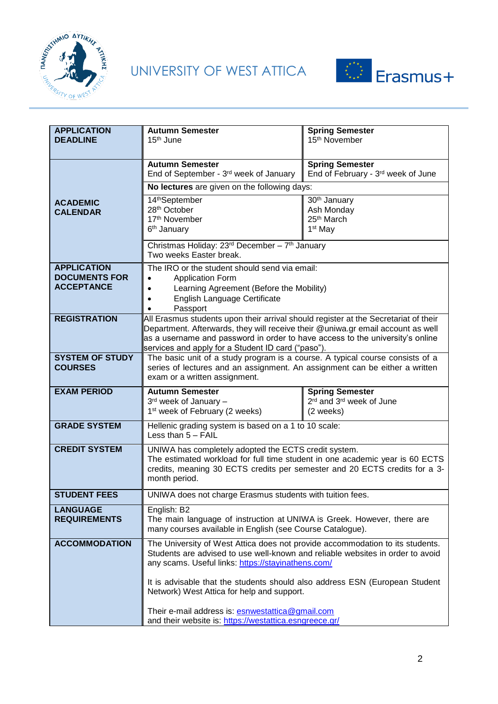



| <b>APPLICATION</b><br><b>DEADLINE</b>     | <b>Autumn Semester</b><br>15 <sup>th</sup> June                                                                                                                                                                       | <b>Spring Semester</b><br>15 <sup>th</sup> November |  |
|-------------------------------------------|-----------------------------------------------------------------------------------------------------------------------------------------------------------------------------------------------------------------------|-----------------------------------------------------|--|
|                                           |                                                                                                                                                                                                                       |                                                     |  |
|                                           | <b>Autumn Semester</b>                                                                                                                                                                                                | <b>Spring Semester</b>                              |  |
|                                           | End of September - 3rd week of January                                                                                                                                                                                | End of February - 3rd week of June                  |  |
|                                           | No lectures are given on the following days:                                                                                                                                                                          |                                                     |  |
| <b>ACADEMIC</b>                           | 14thSeptember                                                                                                                                                                                                         | 30 <sup>th</sup> January                            |  |
| <b>CALENDAR</b>                           | 28 <sup>th</sup> October<br>17th November                                                                                                                                                                             | Ash Monday<br>25 <sup>th</sup> March                |  |
|                                           | 6 <sup>th</sup> January                                                                                                                                                                                               | 1 <sup>st</sup> May                                 |  |
|                                           | Christmas Holiday: 23rd December - 7th January                                                                                                                                                                        |                                                     |  |
|                                           | Two weeks Easter break.                                                                                                                                                                                               |                                                     |  |
| <b>APPLICATION</b>                        | The IRO or the student should send via email:                                                                                                                                                                         |                                                     |  |
| <b>DOCUMENTS FOR</b><br><b>ACCEPTANCE</b> | <b>Application Form</b><br>Learning Agreement (Before the Mobility)                                                                                                                                                   |                                                     |  |
|                                           | English Language Certificate                                                                                                                                                                                          |                                                     |  |
|                                           | Passport                                                                                                                                                                                                              |                                                     |  |
| <b>REGISTRATION</b>                       | All Erasmus students upon their arrival should register at the Secretariat of their                                                                                                                                   |                                                     |  |
|                                           | Department. Afterwards, they will receive their @uniwa.gr email account as well<br>as a username and password in order to have access to the university's online                                                      |                                                     |  |
|                                           | services and apply for a Student ID card ("paso").                                                                                                                                                                    |                                                     |  |
| <b>SYSTEM OF STUDY</b>                    | The basic unit of a study program is a course. A typical course consists of a                                                                                                                                         |                                                     |  |
| <b>COURSES</b>                            | series of lectures and an assignment. An assignment can be either a written<br>exam or a written assignment.                                                                                                          |                                                     |  |
|                                           |                                                                                                                                                                                                                       |                                                     |  |
| <b>EXAM PERIOD</b>                        | <b>Autumn Semester</b><br>$3rd$ week of January -                                                                                                                                                                     | <b>Spring Semester</b><br>2rd and 3rd week of June  |  |
|                                           | 1 <sup>st</sup> week of February (2 weeks)                                                                                                                                                                            | (2 weeks)                                           |  |
| <b>GRADE SYSTEM</b>                       | Hellenic grading system is based on a 1 to 10 scale:                                                                                                                                                                  |                                                     |  |
|                                           | Less than $5 - FAIL$                                                                                                                                                                                                  |                                                     |  |
| <b>CREDIT SYSTEM</b>                      | UNIWA has completely adopted the ECTS credit system.                                                                                                                                                                  |                                                     |  |
|                                           | The estimated workload for full time student in one academic year is 60 ECTS<br>credits, meaning 30 ECTS credits per semester and 20 ECTS credits for a 3-                                                            |                                                     |  |
|                                           | month period.                                                                                                                                                                                                         |                                                     |  |
| <b>STUDENT FEES</b>                       | UNIWA does not charge Erasmus students with tuition fees.                                                                                                                                                             |                                                     |  |
| <b>LANGUAGE</b>                           | English: B2                                                                                                                                                                                                           |                                                     |  |
| <b>REQUIREMENTS</b>                       | The main language of instruction at UNIWA is Greek. However, there are<br>many courses available in English (see Course Catalogue).                                                                                   |                                                     |  |
| <b>ACCOMMODATION</b>                      |                                                                                                                                                                                                                       |                                                     |  |
|                                           | The University of West Attica does not provide accommodation to its students.<br>Students are advised to use well-known and reliable websites in order to avoid<br>any scams. Useful links: https://stayinathens.com/ |                                                     |  |
|                                           | It is advisable that the students should also address ESN (European Student<br>Network) West Attica for help and support.                                                                                             |                                                     |  |
|                                           | Their e-mail address is: esnwestattica@gmail.com<br>and their website is: https://westattica.esngreece.gr/                                                                                                            |                                                     |  |